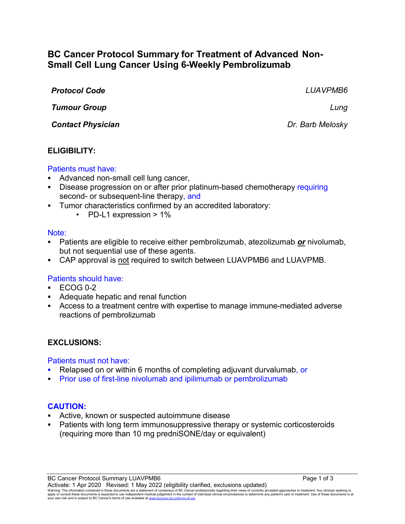# **BC Cancer Protocol Summary for Treatment of Advanced Non-Small Cell Lung Cancer Using 6-Weekly Pembrolizumab**

| <b>Protocol Code</b>     | LUAVPMB6         |
|--------------------------|------------------|
| <b>Tumour Group</b>      | Lung             |
| <b>Contact Physician</b> | Dr. Barb Melosky |

#### **ELIGIBILITY:**

#### Patients must have:

- Advanced non-small cell lung cancer,
- Disease progression on or after prior platinum-based chemotherapy requiring second- or subsequent-line therapy, and
- Tumor characteristics confirmed by an accredited laboratory:
	- PD-L1 expression > 1%

#### Note:

- Patients are eligible to receive either pembrolizumab, atezolizumab *or* nivolumab, but not sequential use of these agents.
- CAP approval is not required to switch between LUAVPMB6 and LUAVPMB.

### Patients should have:

- $\textdegree$  ECOG 0-2
- Adequate hepatic and renal function
- Access to a treatment centre with expertise to manage immune-mediated adverse reactions of pembrolizumab

### **EXCLUSIONS:**

Patients must not have:

- Relapsed on or within 6 months of completing adjuvant durvalumab, or
- Prior use of first-line nivolumab and ipilimumab or pembrolizumab

#### **CAUTION:**

- Active, known or suspected autoimmune disease
- Patients with long term immunosuppressive therapy or systemic corticosteroids (requiring more than 10 mg predniSONE/day or equivalent)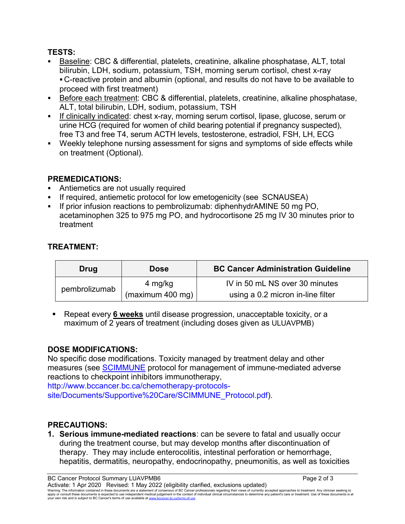### **TESTS:**

- Baseline: CBC & differential, platelets, creatinine, alkaline phosphatase, ALT, total bilirubin, LDH, sodium, potassium, TSH, morning serum cortisol, chest x-ray C-reactive protein and albumin (optional, and results do not have to be available to proceed with first treatment)
- Before each treatment: CBC & differential, platelets, creatinine, alkaline phosphatase, ALT, total bilirubin, LDH, sodium, potassium, TSH
- If clinically indicated: chest x-ray, morning serum cortisol, lipase, glucose, serum or urine HCG (required for women of child bearing potential if pregnancy suspected), free T3 and free T4, serum ACTH levels, testosterone, estradiol, FSH, LH, ECG
- Weekly telephone nursing assessment for signs and symptoms of side effects while on treatment (Optional).

# **PREMEDICATIONS:**

- Antiemetics are not usually required
- If required, antiemetic protocol for low emetogenicity (see SCNAUSEA)
- If prior infusion reactions to pembrolizumab: diphenhydrAMINE 50 mg PO, acetaminophen 325 to 975 mg PO, and hydrocortisone 25 mg IV 30 minutes prior to treatment

# **TREATMENT:**

| Drug          | <b>Dose</b>                 | <b>BC Cancer Administration Guideline</b>                           |
|---------------|-----------------------------|---------------------------------------------------------------------|
| pembrolizumab | 4 mg/kg<br>(maximum 400 mg) | IV in 50 mL NS over 30 minutes<br>using a 0.2 micron in-line filter |

 Repeat every **6 weeks** until disease progression, unacceptable toxicity, or a maximum of 2 years of treatment (including doses given as ULUAVPMB)

# **DOSE MODIFICATIONS:**

No specific dose modifications. Toxicity managed by treatment delay and other measures (see [SCIMMUNE](http://www.bccancer.bc.ca/chemotherapy-protocols-site/Documents/Supportive%20Care/SCIMMUNE_Protocol.pdf) protocol for management of immune-mediated adverse reactions to checkpoint inhibitors immunotherapy,

http://www.bccancer.bc.ca/chemotherapy-protocolssite/Documents/Supportive%20Care/SCIMMUNE\_Protocol.pdf).

# **PRECAUTIONS:**

**1. Serious immune-mediated reactions**: can be severe to fatal and usually occur during the treatment course, but may develop months after discontinuation of therapy. They may include enterocolitis, intestinal perforation or hemorrhage, hepatitis, dermatitis, neuropathy, endocrinopathy, pneumonitis, as well as toxicities

BC Cancer Protocol Summary LUAVPMB6 **Page 2 of 3** Page 2 of 3 Activate: 1 Apr 2020 Revised: 1 May 2022 (eligibility clarified, exclusions updated) Warning: The information contained in these documents are a statement of consensus of BC Cancer professionals regarding their views of currently accepted approaches to treatment. Any clinician seeking to<br>apply or consult t